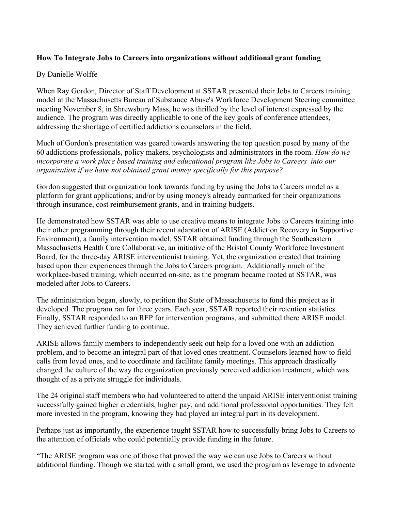## **How To Integrate Jobs to Careers into organizations without additional grant funding**

## By Danielle Wolffe

When Ray Gordon, Director of Staff Development at SSTAR presented their Jobs to Careers training model at the Massachusetts Bureau of Substance Abuse's Workforce Development Steering committee meeting November 8, in Shrewsbury Mass, he was thrilled by the level of interest expressed by the audience. The program was directly applicable to one of the key goals of conference attendees, addressing the shortage of certified addictions counselors in the field.

Much of Gordon's presentation was geared towards answering the top question posed by many of the 60 addictions professionals, policy makers, psychologists and administrators in the room. *How do we incorporate a work place based training and educational program like Jobs to Careers into our organization if we have not obtained grant money specifically for this purpose?* 

Gordon suggested that organization look towards funding by using the Jobs to Careers model as a platform for grant applications; and/or by using money's already earmarked for their organizations through insurance, cost reimbursement grants, and in training budgets.

He demonstrated how SSTAR was able to use creative means to integrate Jobs to Careers training into their other programming through their recent adaptation of ARISE (Addiction Recovery in Supportive Environment), a family intervention model. SSTAR obtained funding through the Southeastern Massachusetts Health Care Collaborative, an initiative of the Bristol County Workforce Investment Board, for the three-day ARISE interventionist training. Yet, the organization created that training based upon their experiences through the Jobs to Careers program. Additionally much of the workplace-based training, which occurred on-site, as the program became rooted at SSTAR, was modeled after Jobs to Careers.

The administration began, slowly, to petition the State of Massachusetts to fund this project as it developed. The program ran for three years. Each year, SSTAR reported their retention statistics. Finally, SSTAR responded to an RFP for intervention programs, and submitted there ARISE model. They achieved further funding to continue.

ARISE allows family members to independently seek out help for a loved one with an addiction problem, and to become an integral part of that loved ones treatment. Counselors learned how to field calls from loved ones, and to coordinate and facilitate family meetings. This approach drastically changed the culture of the way the organization previously perceived addiction treatment, which was thought of as a private struggle for individuals.

The 24 original staff members who had volunteered to attend the unpaid ARISE interventionist training successfully gained higher credentials, higher pay, and additional professional opportunities. They felt more invested in the program, knowing they had played an integral part in its development.

Perhaps just as importantly, the experience taught SSTAR how to successfully bring Jobs to Careers to the attention of officials who could potentially provide funding in the future.

"The ARISE program was one of those that proved the way we can use Jobs to Careers without additional funding. Though we started with a small grant, we used the program as leverage to advocate